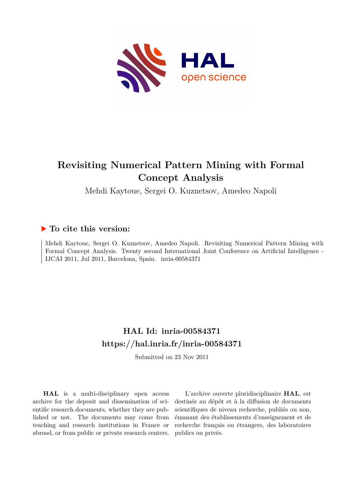

# **Revisiting Numerical Pattern Mining with Formal Concept Analysis**

Mehdi Kaytoue, Sergei O. Kuznetsov, Amedeo Napoli

# **To cite this version:**

Mehdi Kaytoue, Sergei O. Kuznetsov, Amedeo Napoli. Revisiting Numerical Pattern Mining with Formal Concept Analysis. Twenty second International Joint Conference on Artificial Intelligence - IJCAI 2011, Jul 2011, Barcelona, Spain. inria-00584371

# **HAL Id: inria-00584371 <https://hal.inria.fr/inria-00584371>**

Submitted on 23 Nov 2011

**HAL** is a multi-disciplinary open access archive for the deposit and dissemination of scientific research documents, whether they are published or not. The documents may come from teaching and research institutions in France or abroad, or from public or private research centers.

L'archive ouverte pluridisciplinaire **HAL**, est destinée au dépôt et à la diffusion de documents scientifiques de niveau recherche, publiés ou non, émanant des établissements d'enseignement et de recherche français ou étrangers, des laboratoires publics ou privés.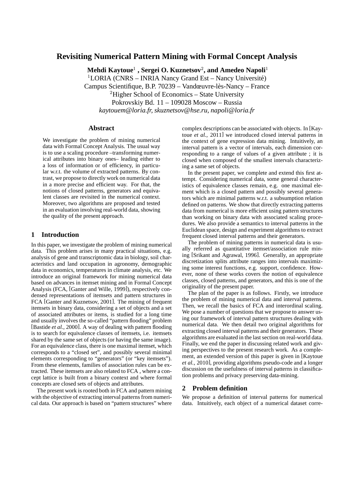# **Revisiting Numerical Pattern Mining with Formal Concept Analysis**

**Mehdi Kaytoue**<sup>1</sup> **, Sergei O. Kuznetsov**<sup>2</sup> **, and Amedeo Napoli**<sup>1</sup>

<sup>1</sup>LORIA (CNRS – INRIA Nancy Grand Est – Nancy Université)

Campus Scientifique, B.P. 70239 – Vandœuvre-lès-Nancy – France

<sup>2</sup>Higher School of Economics – State University

Pokrovskiy Bd. 11 – 109028 Moscow – Russia

*kaytouem@loria.fr, skuznetsov@hse.ru, napoli@loria.fr*

#### **Abstract**

We investigate the problem of mining numerical data with Formal Concept Analysis. The usual way is to use a scaling procedure –transforming numerical attributes into binary ones– leading either to a loss of information or of efficiency, in particular w.r.t. the volume of extracted patterns. By contrast, we propose to directly work on numerical data in a more precise and efficient way. For that, the notions of closed patterns, generators and equivalent classes are revisited in the numerical context. Moreover, two algorithms are proposed and tested in an evaluation involving real-world data, showing the quality of the present approach.

#### **1 Introduction**

In this paper, we investigate the problem of mining numerical data. This problem arises in many practical situations, e.g. analysis of gene and transcriptomic data in biology, soil characteristics and land occupation in agronomy, demographic data in economics, temperatures in climate analysis, etc. We introduce an original framework for mining numerical data based on advances in itemset mining and in Formal Concept Analysis (FCA, [Ganter and Wille, 1999]), respectively condensed representations of itemsets and pattern structures in FCA [Ganter and Kuznetsov, 2001]. The mining of frequent itemsets in binary data, considering a set of objects and a set of associated attributes or items, is studied for a long time and usually involves the so-called "pattern flooding" problem [Bastide *et al.*, 2000]. A way of dealing with pattern flooding is to search for equivalence classes of itemsets, i.e. itemsets shared by the same set of objects (or having the same image). For an equivalence class, there is one maximal itemset, which corresponds to a "closed set", and possibly several minimal elements corresponding to "generators" (or "key itemsets"). From these elements, families of association rules can be extracted. These itemsets are also related to FCA , where a concept lattice is built from a binary context and where formal concepts are closed sets of objects and attributes.

The present work is rooted both in FCA and pattern mining with the objective of extracting interval patterns from numerical data. Our approach is based on "pattern structures" where

complex descriptions can be associated with objects. In [Kaytoue *et al.*, 2011] we introduced closed interval patterns in the context of gene expression data mining. Intuitively, an interval pattern is a vector of intervals, each dimension corresponding to a range of values of a given attribute ; it is closed when composed of the smallest intervals characterizing a same set of objects.

In the present paper, we complete and extend this first attempt. Considering numerical data, some general characteristics of equivalence classes remain, e.g. one maximal element which is a closed pattern and possibly several generators which are minimal patterns w.r.t. a subsumption relation defined on patterns. We show that directly extracting patterns data from numerical is more efficient using pattern structures than working on binary data with associated scaling procedures. We also provide a semantics to interval patterns in the Euclidean space, design and experiment algorithms to extract frequent closed interval patterns and their generators.

The problem of mining patterns in numerical data is usually referred as quantitative itemset/association rule mining [Srikant and Agrawal, 1996]. Generally, an appropriate discretization splits attribute ranges into intervals maximizing some interest functions, e.g. support, confidence. However, none of these works covers the notion of equivalence classes, closed patterns, and generators, and this is one of the originality of the present paper.

The plan of the paper is as follows. Firstly, we introduce the problem of mining numerical data and interval patterns. Then, we recall the basics of FCA and interordinal scaling. We pose a number of questions that we propose to answer using our framework of interval pattern structures dealing with numerical data. We then detail two original algorithms for extracting closed interval patterns and their generators. These algorithms are evaluated in the last section on real-world data. Finally, we end the paper in discussing related work and giving perspectives to the present research work. As a complement, an extended version of this paper is given in [Kaytoue *et al.*, 2010], providing algorithms pseudo-code and a longer discussion on the usefulness of interval patterns in classification problems and privacy preserving data-mining.

### **2 Problem definition**

We propose a definition of interval patterns for numerical data. Intuitively, each object of a numerical dataset corre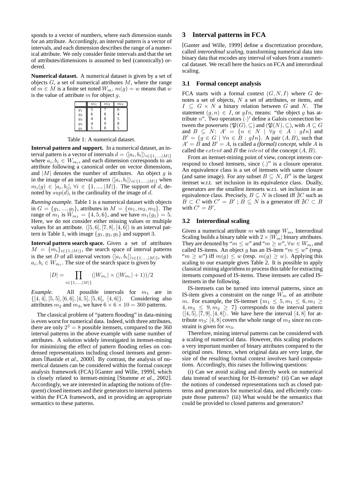sponds to a vector of numbers, where each dimension stands for an attribute. Accordingly, an interval pattern is a vector of intervals, and each dimension describes the range of a numerical attribute. We only consider finite intervals and that the set of attributes/dimensions is assumed to bed (canonically) ordered.

**Numerical dataset.** A numerical dataset is given by a set of objects  $G$ , a set of numerical attributes  $M$ , where the range of  $m \in M$  is a finite set noted  $W_m$ .  $m(q) = w$  means that w is the value of attribute  $m$  for object  $q$ .

|                  | m <sub>1</sub> | m <sub>2</sub> | m <sub>3</sub> |
|------------------|----------------|----------------|----------------|
| $g_1$            | 5              |                | 6              |
| $g_2$            | 6              | 8              | 4              |
| $\overline{g_3}$ | 4              | 8              | 5              |
| 94               |                | 9              | 8              |
| -<br>95          |                |                |                |

Table 1: A numerical dataset.

**Interval pattern and support.** In a numerical dataset, an interval pattern is a vector of intervals  $d = \langle [a_i, b_i] \rangle_{i \in \{1, ..., |M|\}}$ where  $a_i, b_i \in W_{m_i}$ , and each dimension corresponds to an attribute following a canonical order on vector dimensions, and  $|M|$  denotes the number of attributes. An object g is in the image of an interval pattern  $\langle [a_i, b_i] \rangle_{i \in \{1, ..., |M|\}}$  when  $m_i(g) \in [a_i, b_i], \forall i \in \{1, ..., |M|\}.$  The support of d, denoted by  $sup(d)$ , is the cardinality of the image of d.

*Running example.* Table 1 is a numerical dataset with objects in  $G = \{g_1, ..., g_5\}$ , attributes in  $M = \{m_1, m_2, m_3\}$ . The range of  $m_1$  is  $W_{m_1} = \{4, 5, 6\}$ , and we have  $m_1(g_1) = 5$ . Here, we do not consider either missing values or multiple values for an attribute.  $\langle [5, 6], [7, 8], [4, 6] \rangle$  is an interval pattern in Table 1, with image  $\{g_1, g_2, g_5\}$  and support 3.

**Interval pattern search space.** Given a set of attributes  $M = \{m_i\}_{i \in \{1, |M|\}}$ , the search space of interval patterns is the set D of all interval vectors  $\langle [a_i, b_i] \rangle_{i \in \{1, ..., |M|\}}$ , with  $a_i, b_i \in W_{m_i}$ . The size of the search space is given by

$$
|D| = \prod_{i \in \{1, ..., |M|\}} (|W_{m_i}| \times (|W_{m_i}| + 1))/2
$$

*Example.* All possible intervals for  $m_1$  are in  $\{[4, 4], [5, 5], [6, 6], [4, 5], [5, 6], [4, 6]\}.$  Considering also attributes  $m_2$  and  $m_3$ , we have  $6 \times 6 \times 10 = 360$  patterns.

The classical problem of "pattern flooding" in data-mining is even worst for numerical data. Indeed, with three attributes, there are only  $2^3 = 8$  possible itemsets, compared to the 360 interval patterns in the above example with same number of attributes. A solution widely investigated in itemset-mining for minimizing the effect of pattern flooding relies on condensed representations including closed itemsets and generators [Bastide *et al.*, 2000]. By contrast, the analysis of numerical datasets can be considered within the formal concept analysis framework (FCA) [Ganter and Wille, 1999], which is closely related to itemset-mining [Stumme *et al.*, 2002]. Accordingly, we are interested in adapting the notions of (frequent) closed itemsets and their generators to interval patterns within the FCA framework, and in providing an appropriate semantics to these patterns.

### **3 Interval patterns in FCA**

[Ganter and Wille, 1999] define a discretization procedure, called *interordinal scaling*, transforming numerical data into binary data that encodes any interval of values from a numerical dataset. We recall here the basics on FCA and interordinal scaling.

#### **3.1 Formal concept analysis**

FCA starts with a formal context  $(G, N, I)$  where G denotes a set of objects, N a set of attributes, or items, and  $I \subseteq G \times N$  a binary relation between G and N. The statement  $(g, n) \in I$ , or  $gIn$ , means: "the object g has attribute n". Two operators  $\left(\cdot\right)'$  define a Galois connection between the powersets  $(\mathfrak{P}(G), \subseteq)$  and  $(\mathfrak{P}(N), \subseteq)$ , with  $A \subseteq G$ and  $B \subseteq N$ :  $A' = \{n \in N \mid \forall g \in A : gIn\}$  and  $B' = \{g \in G \mid \forall n \in B : gIn\}$ . A pair  $(A, B)$ , such that  $A' = B$  and  $B' = A$ , is called a *(formal) concept*, while A is called the *extent* and B the *intent* of the concept  $(A, B)$ .

From an itemset-mining point of view, concept intents correspond to closed itemsets, since  $(.)''$  is a closure operator. An equivalence class is a set of itemsets with same closure (and same image). For any subset  $B \subseteq N$ ,  $B''$  is the largest itemset w.r.t. set inclusion in its equivalence class. Dually, generators are the smallest itemsets w.r.t. set inclusion in an equivalence class. Precisely,  $B \subseteq N$  is closed iff  $\#C$  such as  $B \subset C$  with  $C' = B'$ ;  $B \subseteq N$  is a generator iff  $\frac{A}{C} \subset B$ with  $C' = B'$ .

#### **3.2 Interordinal scaling**

Given a numerical attribute m with range  $W_m$ , Interordinal Scaling builds a binary table with  $2 \times |W_m|$  binary attributes. They are denoted by " $m \leq w$ " and " $m \geq w$ ",  $\forall w \in W_m$ , and called IS-items. An object g has an IS-item " $m \leq w$ " (resp. " $m \geq w$ ") iff  $m(g) \leq w$  (resp.  $m(g) \geq w$ ). Applying this scaling to our example gives Table 2. It is possible to apply classical mining algorithms to process this table for extracting itemsets composed of IS-items. These itemsets are called ISitemsets in the following.

IS-itemsets can be turned into interval patterns, since an IS-item gives a constraint on the range  $W_m$  of an attribute m. For example, the IS-itemset  $\{m_1 \leq 5, m_1 \leq 6, m_1 \geq 1\}$  $4, m_2 \leq 9, m_2 \geq 7$  corresponds to the interval pattern  $\langle [4, 5], [7, 9], [4, 8] \rangle$ . We have here the interval  $[4, 8]$  for attribute  $m_3$ : [4, 8] covers the whole range of  $m_3$  since no constraint is given for  $m_3$ .

Therefore, mining interval patterns can be considered with a scaling of numerical data. However, this scaling produces a very important number of binary attributes compared to the original ones. Hence, when original data are very large, the size of the resulting formal context involves hard computations. Accordingly, this raises the following questions:

(i) Can we avoid scaling and directly work on numerical data instead of searching for IS-itemsets? (ii) Can we adapt the notions of condensed representations such as closed patterns and generators for numerical data, and efficiently compute those patterns? (iii) What would be the semantics that could be provided to closed patterns and generators?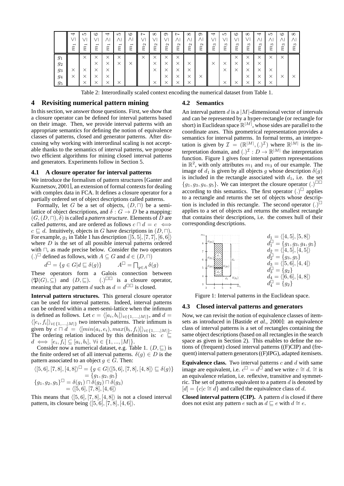|       | $\overline{\phantom{0}}$<br>$m_{1}$ | LO<br>$\overline{\phantom{0}}$<br>د<br>∼<br>∼ | ం<br>$\overline{\phantom{0}}$<br>م<br>≻<br>∼ | $\overline{\phantom{0}}$<br>ᆏ<br>$\widetilde{n}$ | LO<br>$\overline{\phantom{0}}$<br>$\widetilde{n}$ | ం<br>$\overline{\phantom{0}}$<br>r,<br>∼ | $\sim$<br>$\mathbf{\Omega}$<br>دم<br>≻<br>∼ | $\infty$<br>$\mathbf{\Omega}$<br>$\rightarrow$<br>∼<br>∼ | ⊙<br>$\checkmark$<br>$m_2$ | $\sim$<br>$\mathfrak{c}_2$<br>∼<br>∼ | $\infty$<br>$\mathbf{\Omega}$<br>Ŕ | ⊝<br>$\mathbf{\Omega}$<br>$\rightarrow$<br>∼<br>∼ | 4<br>S<br>ىم<br>∼<br>∼ | LO<br>S<br>$\widetilde{r}$<br>∼ | ం<br>S<br>r,<br>∼ | $\infty$<br>S<br>$\rightarrow$<br>∼ | $\overline{}$<br>S<br>دم<br>≻<br>∼ | ഥ<br>$n_3$<br>∼   | C<br>S<br>د<br>∼<br>∼ | $\infty$<br>S<br>د |
|-------|-------------------------------------|-----------------------------------------------|----------------------------------------------|--------------------------------------------------|---------------------------------------------------|------------------------------------------|---------------------------------------------|----------------------------------------------------------|----------------------------|--------------------------------------|------------------------------------|---------------------------------------------------|------------------------|---------------------------------|-------------------|-------------------------------------|------------------------------------|-------------------|-----------------------|--------------------|
| $g_1$ |                                     | $\times$                                      | $\checkmark$<br>⋏                            | $\times$                                         | $\times$                                          |                                          | $\times$                                    | $\times$                                                 | $\times$                   | $\times$                             |                                    |                                                   |                        |                                 | $\times$          | ╰<br>∧                              | $\times$                           | $\checkmark$<br>ᄉ | $\times$              |                    |
| $g_2$ |                                     |                                               | ╰<br>⌒                                       | $\times$                                         | $\times$                                          | $\times$                                 |                                             | $\times$                                                 | $\times$                   | ᄉ                                    | $\times$                           |                                                   | $\times$               | ㅅ                               | ×                 | ╰                                   | $\times$                           |                   |                       |                    |
| 93    | ╰<br>⌒                              | $\times$                                      | ╰<br>⌒                                       | $\times$                                         |                                                   |                                          |                                             | $\times$                                                 | ×                          | $\times$                             | $\times$                           |                                                   |                        | ╰<br>∧                          | $\times$          |                                     | $\times$                           | $\checkmark$<br>ㅅ |                       |                    |
| 94    | ∧                                   | $\times$                                      | $\checkmark$<br>⋏                            | $\times$                                         |                                                   |                                          |                                             |                                                          | $\times$                   | ×                                    | ×                                  | $\times$                                          |                        |                                 |                   | ╰                                   | $\times$                           | $\checkmark$<br>ㅅ | $\times$              | ×                  |
| $g_5$ |                                     | ╰<br>⋏                                        | ╰<br>⌒                                       | $\times$                                         | $\checkmark$<br>ㅅ                                 |                                          |                                             | $\times$                                                 | $\times$                   |                                      | $\times$                           |                                                   |                        | $\checkmark$<br>ᄉ               | $\checkmark$<br>⋏ | ◡                                   | $\checkmark$<br>⌒                  | $\checkmark$<br>⌒ |                       |                    |

Table 2: Interordinally scaled context encoding the numerical dataset from Table 1.

#### **4 Revisiting numerical pattern mining**

In this section, we answer those questions. First, we show that a closure operator can be defined for interval patterns based on their image. Then, we provide interval patterns with an appropriate semantics for defining the notion of equivalence classes of patterns, closed and generator patterns. After discussing why working with interordinal scaling is not acceptable thanks to the semantics of interval patterns, we propose two efficient algorithms for mining closed interval patterns and generators. Experiments follow in Section 5.

#### **4.1 A closure operator for interval patterns**

We introduce the formalism of pattern structures [Ganter and Kuznetsov, 2001], an extension of formal contexts for dealing with complex data in FCA. It defines a closure operator for a partially ordered set of object descriptions called patterns.

Formally, let G be a set of objects,  $(D, \Box)$  be a semilattice of object descriptions, and  $\delta: G \to D$  be a mapping:  $(G,(D,\sqcap),\delta)$  is called a *pattern structure*. Elements of D are called *patterns*, and are ordered as follows  $c \sqcap d = c \iff$  $c \nightharpoonup d$ . Intuitively, objects in G have descriptions in  $(D, \Box)$ . For example,  $g_1$  in Table 1 has description  $\langle [5, 5], [7, 7], [6, 6] \rangle$ where  $D$  is the set of all possible interval patterns ordered with ⊓, as made precise below. Consider the two operators (.)<sup> $□$ </sup> defined as follows, with  $A \subseteq G$  and  $d \in (D, \sqcap)$ 

$$
d^{\Box} = \{ g \in G | d \sqsubseteq \delta(g) \} \qquad A^{\Box} = \bigcap_{g \in A} \delta(g)
$$

These operators form a Galois connection between  $(\mathfrak{P}(G), \subseteq)$  and  $(D, \sqsubseteq)$ .  $(.)^{\square\square}$  is a closure operator, meaning that any pattern d such as  $d = d^{\square \square}$  is closed.

**Interval pattern structures.** This general closure operator can be used for interval patterns. Indeed, interval patterns can be ordered within a meet-semi-lattice when the infimum is defined as follows. Let  $c = \langle [a_i, b_i] \rangle_{i \in \{1, ..., |M|\}}$ , and  $d =$  $\langle [e_i, f_i] \rangle_{i \in \{1, \ldots, |M|\}}$  two intervals patterns. Their infimum is given by  $c \sqcap d = \langle [min(a_i, e_i), max(b_i, f_i)] \rangle_{i \in \{1, ..., |M|\}}.$ The ordering relation induced by this definition is:  $c \subseteq$  $d \iff [e_i, f_i] \subseteq [a_i, b_i], \ \forall i \in \{1, ..., |M|\}.$ 

Consider now a numerical dataset, e.g. Table 1.  $(D, \square)$  is the finite ordered set of all interval patterns.  $\delta(q) \in D$  is the pattern associated to an object  $g \in G$ . Then:

$$
\langle [5,6], [7,8], [4,8] \rangle^{\Box} = \{ g \in G | \langle [5,6], [7,8], [4,8] \rangle \sqsubseteq \delta(g) \} \n= \{ g_1, g_2, g_5 \} \n\{ g_1, g_2, g_5 \}^{\Box} = \delta(g_1) \sqcap \delta(g_2) \sqcap \delta(g_3) \n= \langle [5,6], [7,8], [4,6] \rangle
$$

This means that  $\langle [5, 6], [7, 8], [4, 8] \rangle$  is not a closed interval pattern, its closure being  $\langle [5, 6], [7, 8], [4, 6] \rangle$ .

#### **4.2 Semantics**

An interval pattern d is a  $|M|$ -dimensional vector of intervals and can be represented by a hyper-rectangle (or rectangle for short) in Euclidean space  $\mathbb{R}^{|M|}$ , whose sides are parallel to the coordinate axes. This geometrical representation provides a semantics for interval patterns. In formal terms, an interpretation is given by  $\mathcal{I} = (\mathbb{R}^{|M|},(.)^{\mathcal{I}})$  where  $\mathbb{R}^{|M|}$  is the interpretation domain, and  $(.)^{\mathcal{I}} : D \to \mathbb{R}^{|M|}$  the interpretation function. Figure 1 gives four interval pattern representations in  $\mathbb{R}^2$ , with only attributes  $m_1$  and  $m_3$  of our example. The image of  $d_1$  is given by all objects g whose description  $\delta(g)$ is included in the rectangle associated with  $d_1$ , i.e. the set  ${g_1, g_3, g_4, g_5}$ . We can interpret the closure operator  $(.)^{\square \square}$ according to this semantics. The first operator  $(.)^{\square}$  applies to a rectangle and returns the set of objects whose description is included in this rectangle. The second operator  $(.)^{\square}$ applies to a set of objects and returns the smallest rectangle that contains their descriptions, i.e. the convex hull of their corresponding descriptions.



Figure 1: Interval patterns in the Euclidean space.

#### **4.3 Closed interval patterns and generators**

Now, we can revisit the notion of equivalence classes of itemsets as introduced in [Bastide *et al.*, 2000]: an equivalence class of interval patterns is a set of rectangles containing the same object descriptions (based on all rectangles in the search space as given in Section 2). This enables to define the notions of (frequent) closed interval patterns ((F)CIP) and (frequent) interval pattern generators ((F)IPG), adapted itemisets.

**Equivalence class.** Two interval patterns  $c$  and  $d$  with same image are equivalent, i.e.  $c^{\square} = d^{\square}$  and we write  $c \cong d$ .  $\cong$  is an equivalence relation, i.e. reflexive, transitive and symmetric. The set of patterns equivalent to a pattern  $d$  is denoted by  $[d] = \{c | c \cong d\}$  and called the equivalence class of d.

**Closed interval pattern (CIP).** A pattern  $d$  is closed if there does not exist any pattern e such as  $d \sqsubseteq e$  with  $d \cong e$ .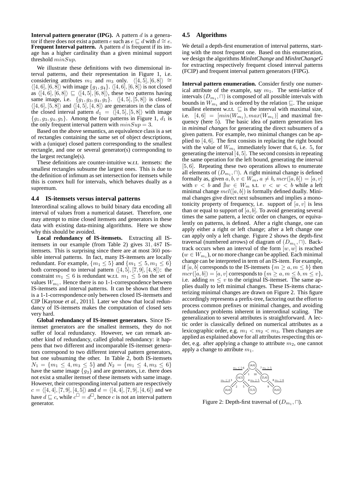**Interval pattern generator (IPG).** A pattern  $d$  is a generator if there does not exist a pattern e such as  $e \sqsubseteq d$  with  $d \cong e$ . **Frequent Interval pattern.** A pattern  $d$  is frequent if its image has a higher cardinality than a given minimal support threshold  $minSup.$ 

We illustrate these definitions with two dimensional interval patterns, and their representation in Figure 1, i.e. considering attributes  $m_1$  and  $m_3$  only.  $\langle [4, 5], [6, 8] \rangle \cong$  $\langle [4, 6], [6, 8] \rangle$  with image  $\{g_1, g_4\}.$   $\langle [4, 6], [6, 8] \rangle$  is not closed as  $\langle [4, 6], [6, 8] \rangle \sqsubseteq \langle [4, 5], [6, 8] \rangle$ , these two patterns having same image, i.e.  $\{g_1, g_3, g_4, g_5\}.$   $\langle [4, 5], [5, 8] \rangle$  is closed.  $\langle [4, 6], [5, 8] \rangle$  and  $\langle [4, 5], [4, 8] \rangle$  are generators in the class of the closed interval pattern  $d_1 = \langle [4, 5], [5, 8] \rangle$  with image  ${g_1, g_3, g_4, g_5}$ . Among the four patterns in Figure 1,  $d_1$  is the only frequent interval pattern with  $minSup = 3$ .

Based on the above semantics, an equivalence class is a set of rectangles containing the same set of object descriptions, with a (unique) closed pattern corresponding to the smallest rectangle, and one or several generator(s) corresponding to the largest rectangle(s).

These definitions are counter-intuitive w.r.t. itemsets: the smallest rectangles subsume the largest ones. This is due to the definition of infimum as set intersection for itemsets while this is convex hull for intervals, which behaves dually as a supremum.

#### **4.4 IS-itemsets versus interval patterns**

Interordinal scaling allows to build binary data encoding all interval of values from a numerical dataset. Therefore, one may attempt to mine closed itemsets and generators in these data with existing data-mining algorithms. Here we show why this should be avoided.

**Local redundancy of IS-itemsets.** Extracting all ISitemsets in our example (from Table 2) gives 31, 487 ISitemsets. This is surprising since there are at most 360 possible interval patterns. In fact, many IS-itemsets are locally redundant. For example,  $\{m_1 \leq 5\}$  and  $\{m_1 \leq 5, m_1 \leq 6\}$ both correspond to interval pattern  $\langle [4, 5], [7, 9], [4, 8] \rangle$ : the constraint  $m_1 \leq 6$  is redundant w.r.t.  $m_1 \leq 5$  on the set of values  $W_{m_1}$ . Hence there is no 1-1-correspondence between IS-itemsets and interval patterns. It can be shown that there is a 1-1-correspondence only between closed IS-itemsets and CIP [Kaytoue *et al.*, 2011]. Later we show that local redundancy of IS-itemsets makes the computation of closed sets very hard.

**Global redundancy of IS-itemset generators.** Since ISitemset generators are the smallest itemsets, they do not suffer of local redundancy. However, we can remark another kind of redundancy, called global redundancy: it happens that two different and incomparable IS-itemset generators correspond to two different interval pattern generators, but one subsuming the other. In Table 2, both IS-itemsets  $N_1 = \{m_1 \leq 4, m_3 \leq 5\}$  and  $N_2 = \{m_1 \leq 4, m_3 \leq 6\}$ have the same image  ${g_3}$  and are generators, i.e. there does not exist a smaller itemset of these itemsets with same image. However, their corresponding interval pattern are respectively  $c = \langle [4, 4], [7, 9], [4, 5] \rangle$  and  $d = \langle [4, 4], [7, 9], [4, 6] \rangle$  and we have  $d \sqsubseteq c$ , while  $c^{\square} = d^{\square}$ , hence c is not an interval pattern generator.

#### **4.5 Algorithms**

We detail a depth-first enumeration of interval patterns, starting with the most frequent one. Based on this enumeration, we design the algorithms *MinIntChange* and *MinIntChangeG* for extracting respectively frequent closed interval patterns (FCIP) and frequent interval pattern generators (FIPG).

**Interval pattern enumeration.** Consider firstly one numerical attribute of the example, say  $m_1$ . The semi-lattice of intervals  $(D_{m_1}, \sqcap)$  is composed of all possible intervals with bounds in  $W_{m_1}$  and is ordered by the relation  $\subseteq$ . The unique smallest element w.r.t.  $\sqsubseteq$  is the interval with maximal size, i.e.  $[4, 6] = [min(W_{m_1}), max(W_{m_1})]$  and maximal frequency (here 5). The basic idea of pattern generation lies in *minimal changes* for generating the direct subsumers of a given pattern. For example, two minimal changes can be applied to [4, 6]. The first consists in replacing the right bound with the value of  $W_{m_1}$  immediately lower that 6, i.e. 5, for generating the interval  $[4, 5]$ . The second consists in repeating the same operation for the left bound, generating the interval [5, 6]. Repeating these two operations allows to enumerate all elements of  $(D_{m_1}, \Box)$ . A right minimal change is defined formally as, given  $a, b, v \in W_m$ ,  $a \neq b$ ,  $mcr([a, b]) = [a, v]$ with  $v < b$  and  $\neq w \in W_m$  s.t.  $v < w < b$  while a left minimal change  $mcl([a, b])$  is formally defined dually. Minimal changes give direct next subsumers and implies a monotonicity property of frequency, i.e. support of  $[a, v]$  is less than or equal to support of  $[a, b]$ . To avoid generating several times the same pattern, a lectic order on changes, or equivalently on patterns, is defined. After a right change, one can apply either a right or left change; after a left change one can apply only a left change. Figure 2 shows the depth-first traversal (numbered arrows) of diagram of  $(D_{m_1},\sqcap)$ . Backtrack occurs when an interval of the form  $[w, w]$  is reached  $(w \in W_{m_1})$ , or no more change can be applied. Each minimal change can be interpreted in term of an IS-item. For example, if [a, b] corresponds to the IS-itemsets  $\{m \ge a, m \le b\}$  then  $mcr([a, b]) = [a, v]$  corresponds to  $\{m \ge a, m \le b, m \le v\},\$ i.e. adding  $m \le v$  to the original IS-itemset. The same applies dually to left minimal changes. These IS-items characterizing minimal changes are drawn on Figure 2. This figure accordingly represents a prefix-tree, factoring out the effort to process common prefixes or minimal changes, and avoiding redundancy problems inherent in interordinal scaling. The generalization to several attributes is straightforward. A lectic order is classically defined on numerical attributes as a lexicographic order, e.g.  $m_1 < m_2 < m_3$ . Then changes are applied as explained above for all attributes respecting this order, e.g. after applying a change to attribute  $m_2$ , one cannot apply a change to attribute  $m_1$ .



Figure 2: Depth-first traversal of  $(D_{m_1},\sqcap)$ .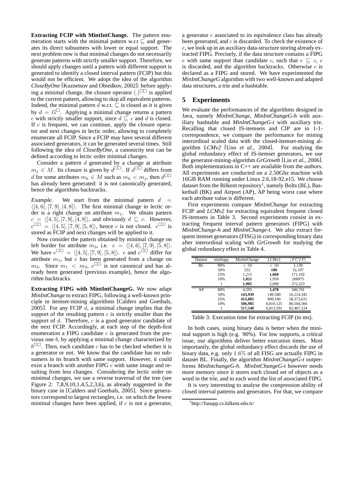**Extracting FCIP with MintIntChange.** The pattern enumeration starts with the minimal pattern w.r.t  $\sqsubseteq$  and generates its direct subsumers with lower or equal support. The next problem now is that minimal changes do not necessarily generate patterns with strictly smaller support. Therefore, we should apply changes until a pattern with different support is generated to identify a closed interval pattern (FCIP) but this would not be efficient. We adopt the idea of the algorithm *CloseByOne* [Kuznetsov and Obiedkov, 2002]: before applying a minimal change, the closure operator  $(.)^{\square\square}$  is applied to the current pattern, allowing to skip all equivalent patterns. Indeed, the minimal pattern  $d$  w.r.t.  $\subseteq$  is closed as it is given by  $d = G^{\square}$ . Applying a minimal change returns a pattern c with strictly smaller support, since  $d \sqsubseteq c$  and d is closed. If  $c$  is frequent, we can continue, apply the closure operator and next changes in lectic order, allowing to completely enumerate all FCIP. Since a FCIP may have several different associated generators, it can be generated several times. Still following the idea of *CloseByOne*, a canonicity test can be defined according to lectic order minimal changes.

Consider a pattern  $d$  generated by a change at attribute  $m_j \in M$ . Its closure is given by  $d^{\Box \Box}$ . If  $d^{\Box \Box}$  differs from d for some attributes  $m_h \in M$  such as  $m_h < m_j$ , then  $d^{\Box \Box}$ has already been generated: it is not canonically generated, hence the algorithms backtracks.

*Example.* We start from the minimal pattern  $d =$  $\langle [4, 6], [7, 9], [4, 8] \rangle$ . The first minimal change in lectic order is a right change on attribute  $m_1$ . We obtain pattern  $c = \langle [4, 5], [7, 9], [4, 8] \rangle$ , and obviously  $d \sqsubseteq c$ . However,  $c^{\Box \Box} = \langle [4, 5], [7, 9], [5, 8] \rangle$ , hence c is not closed.  $c^{\Box \Box}$  is stored as FCIP and next changes will be applied to it.

Now consider the pattern obtained by minimal change on left border for attribute  $m_3$ , i.e.  $e = \langle [4, 6], [7, 9], [5, 8] \rangle$ . We have  $e^{\Box \Box} = \langle [4, 5], [7, 9], [5, 8] \rangle$ . e and  $e^{\Box \Box}$  differ for attribute  $m_1$ , but  $e$  has been generated from a change on  $m_3$ . Since  $m_1 < m_3$ ,  $e^{\Box \Box}$  is not canonical and has already been generated (previous example), hence the algorithm backtracks.

**Extracting FIPG with MintIntChangeG.** We now adapt *MinIntChange* to extract FIPG, following a well-known principle in itemset-mining algorithms [Calders and Goethals, 2005]. For any FCIP  $d$ , a minimal change implies that the support of the resulting pattern  $c$  is strictly smaller than the support of  $d$ . Therefore,  $c$  is a good generator candidate of the next FCIP. Accordingly, at each step of the depth-first enumeration a FIPG candidate  $c$  is generated from the previous one b, by applying a minimal change characterized by  $b^{\Box\Box}$ . Then, each candidate c has to be checked whether it is a generator or not. We know that the candidate has no subsumers in its branch with same support. However, it could exist a branch with another FIPG e with same image and resulting from less changes. Considering the lectic order on minimal changes, we use a reverse traversal of the tree (see Figure 2: 7,8,9,10,1,4,5,2,3,6), as already suggested in the binary case in [Calders and Goethals, 2005]. Since generators correspond to largest rectangles, i.e. on which the fewest minimal changes have been applied, if  $c$  is not a generator,

a generator  $e$  associated to its equivalence class has already been generated, and  $c$  is discarded. To check the existence of e, we look up in an auxiliary data-structure storing already extracted FIPG. Precisely, if the data structure contains a FIPG e with same support than candidate c, such that  $e \subseteq c$ , c is discarded, and the algorithm backtracks. Otherwise  $c$  is declared as a FIPG and stored. We have experimented the *MinIntChangeG* algorithm with two well-known and adapted data structures, a trie and a hashtable.

#### **5 Experiments**

We evaluate the performances of the algorithms designed in Java, namely *MinIntChange*, *MinIntChangeG-h* with auxiliary hashtable and *MinIntChangeG-t* with auxiliary trie. Recalling that closed IS-itemsets and CIP are in 1-1 correspondence, we compare the performance for mining interordinal scaled data with the closed-itemset-mining algorithm *LCMv2* [Uno *et al.*, 2004]. For studying the global redundancy effect of IS-itemset generators, we use the generator-mining-algorithm *GrGrowth* [Liu *et al.*, 2006]. Both implementations in C++ are available from the authors. All experiments are conducted on a 2.50Ghz machine with 16GB RAM running under Linux 2.6.18-92.e15. We choose dataset from the Bilkent repository<sup>1</sup>, namely Bolts (BL), Basketball (BK) and Airport (AP), AP being worst case where each attribute value is different.

First experiments compare *MinIntChange* for extracting FCIP and *LCMv2* for extracting equivalent frequent closed IS-itemsets in Table 3. Second experiments consist in extracting frequent interval pattern generators (FIPG) with *MinIntChange-h* and *MinIntChange-t*. We also extract frequent itemset generators (FISG) in corresponding binary data after interordinal scaling with *GrGrowth* for studying the global redundancy effect in Table 4.

| Dataset | minSupp | MinIntChange | LCM <sub>v2</sub> | FCIP       |
|---------|---------|--------------|-------------------|------------|
| BL      | 80%     | < 50         | < 50              | 1,130      |
|         | 50%     | 252          | 100               | 32,107     |
|         | 25%     | 1,215        | 1,060             | 171,192    |
|         | 10%     | 1,821        | 1,950             | 268975     |
|         |         | 1.905        | 2.090             | 272.223    |
| AP      | 80%     | 4.595        | 1.470             | 346,741    |
|         | 50%     | 143,939      | 149.580           | 16.214.345 |
|         | 25%     | 413,805      | 899,180           | 58,373,631 |
|         | 10%     | 506,985      | 6,810,125         | 80,504,566 |
|         |         | 517,548      | 6,813,591         | 82,467,124 |

Table 3: Execution time for extracting FCIP (in ms).

In both cases, using binary data is better when the minimal support is high (e.g. 90%). For low supports, a critical issue, our algorithms deliver better execution times. Most importantly, the global redundancy effect discards the use of binary data, e.g. only 1.6% of all FISG are actually FIPG in dataset BL. Finally, the algorithm *MinIntChangeG-t* outperforms *MinIntchangeG-h*. *MinIntChangeG-t* however needs more memory since it stores each closed set of objects as a word in the trie, and to each word the list of associated FIPG.

It is very interesting to analyse the compression ability of closed interval patterns and generators. For that, we compare

<sup>1</sup> http://funapp.cs.bilkent.edu.tr/